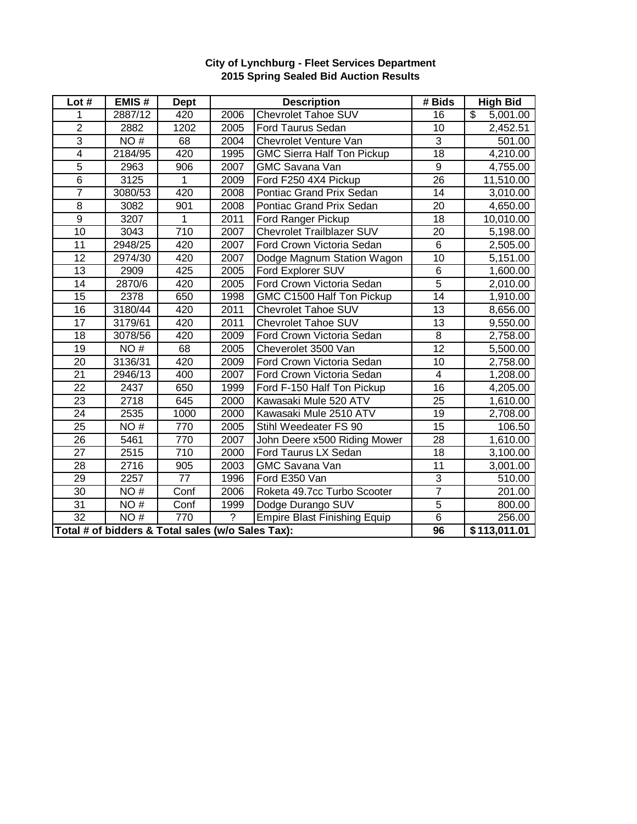| Lot #                                             | EMIS#   | <b>Dept</b> | <b>Description</b> |                                     | # Bids           | <b>High Bid</b> |
|---------------------------------------------------|---------|-------------|--------------------|-------------------------------------|------------------|-----------------|
| 1                                                 | 2887/12 | 420         | 2006               | <b>Chevrolet Tahoe SUV</b>          | 16               | \$<br>5,001.00  |
| $\overline{2}$                                    | 2882    | 1202        | 2005               | <b>Ford Taurus Sedan</b>            | 10               | 2,452.51        |
| $\overline{3}$                                    | NO#     | 68          | 2004               | Chevrolet Venture Van               | 3                | 501.00          |
| $\overline{4}$                                    | 2184/95 | 420         | 1995               | <b>GMC Sierra Half Ton Pickup</b>   | $\overline{18}$  | 4,210.00        |
| $\overline{5}$                                    | 2963    | 906         | 2007               | <b>GMC Savana Van</b>               | $\boldsymbol{9}$ | 4,755.00        |
| $\overline{6}$                                    | 3125    | 1           | 2009               | Ford F250 4X4 Pickup                | 26               | 11,510.00       |
| $\overline{7}$                                    | 3080/53 | 420         | 2008               | Pontiac Grand Prix Sedan            | 14               | 3,010.00        |
| $\overline{8}$                                    | 3082    | 901         | 2008               | Pontiac Grand Prix Sedan            | $\overline{20}$  | 4,650.00        |
| $\overline{9}$                                    | 3207    | 1           | 2011               | Ford Ranger Pickup                  | 18               | 10,010.00       |
| 10                                                | 3043    | 710         | 2007               | <b>Chevrolet Trailblazer SUV</b>    | 20               | 5,198.00        |
| 11                                                | 2948/25 | 420         | 2007               | Ford Crown Victoria Sedan           | 6                | 2,505.00        |
| 12                                                | 2974/30 | 420         | 2007               | Dodge Magnum Station Wagon          | $\overline{10}$  | 5,151.00        |
| 13                                                | 2909    | 425         | 2005               | Ford Explorer SUV                   | 6                | 1,600.00        |
| 14                                                | 2870/6  | 420         | 2005               | Ford Crown Victoria Sedan           | $\overline{5}$   | 2,010.00        |
| 15                                                | 2378    | 650         | 1998               | GMC C1500 Half Ton Pickup           | $\overline{14}$  | 1,910.00        |
| 16                                                | 3180/44 | 420         | 2011               | Chevrolet Tahoe SUV                 | 13               | 8,656.00        |
| 17                                                | 3179/61 | 420         | 2011               | Chevrolet Tahoe SUV                 | 13               | 9,550.00        |
| 18                                                | 3078/56 | 420         | 2009               | Ford Crown Victoria Sedan           | $\overline{8}$   | 2,758.00        |
| 19                                                | NO#     | 68          | 2005               | Cheverolet 3500 Van                 | $\overline{12}$  | 5,500.00        |
| 20                                                | 3136/31 | 420         | 2009               | Ford Crown Victoria Sedan           | 10               | 2,758.00        |
| 21                                                | 2946/13 | 400         | 2007               | Ford Crown Victoria Sedan           | 4                | 1,208.00        |
| $\overline{22}$                                   | 2437    | 650         | 1999               | Ford F-150 Half Ton Pickup          | $\overline{16}$  | 4,205.00        |
| 23                                                | 2718    | 645         | 2000               | Kawasaki Mule 520 ATV               | 25               | 1,610.00        |
| 24                                                | 2535    | 1000        | 2000               | Kawasaki Mule 2510 ATV              | 19               | 2,708.00        |
| 25                                                | NO#     | 770         | 2005               | Stihl Weedeater FS 90               | 15               | 106.50          |
| 26                                                | 5461    | 770         | 2007               | John Deere x500 Riding Mower        | 28               | 1,610.00        |
| 27                                                | 2515    | 710         | 2000               | Ford Taurus LX Sedan                | 18               | 3,100.00        |
| 28                                                | 2716    | 905         | 2003               | <b>GMC Savana Van</b>               | $\overline{11}$  | 3,001.00        |
| 29                                                | 2257    | 77          | 1996               | Ford E350 Van                       | 3                | 510.00          |
| 30                                                | NO#     | Conf        | 2006               | Roketa 49.7cc Turbo Scooter         | $\overline{7}$   | 201.00          |
| 31                                                | NO#     | Conf        | 1999               | Dodge Durango SUV                   | $\overline{5}$   | 800.00          |
| $\overline{32}$                                   | NO#     | 770         | $\overline{?}$     | <b>Empire Blast Finishing Equip</b> | $\overline{6}$   | 256.00          |
| Total # of bidders & Total sales (w/o Sales Tax): |         |             |                    |                                     | 96               | \$113,011.01    |

## **City of Lynchburg - Fleet Services Department 2015 Spring Sealed Bid Auction Results**